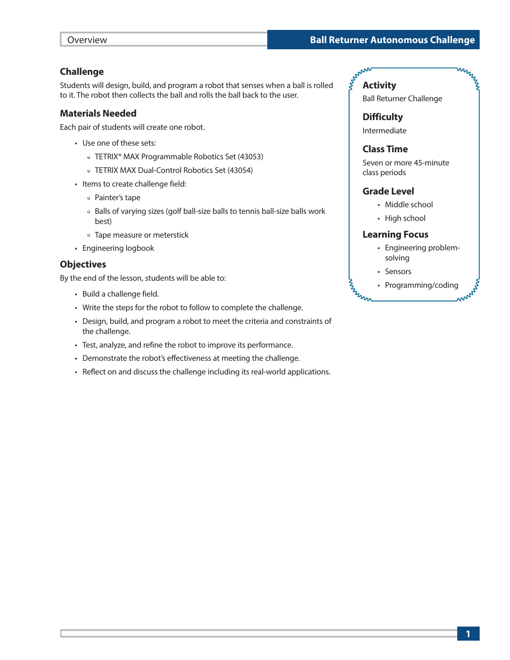### **Challenge**

Students will design, build, and program a robot that senses when a ball is rolled to it. The robot then collects the ball and rolls the ball back to the user.

### **Materials Needed**

Each pair of students will create one robot.

- Use one of these sets:
	- TETRIX® MAX Programmable Robotics Set (43053)
	- TETRIX MAX Dual-Control Robotics Set (43054)
- Items to create challenge field:
	- Painter's tape
	- Balls of varying sizes (golf ball-size balls to tennis ball-size balls work best)
	- Tape measure or meterstick
- Engineering logbook

### **Objectives**

By the end of the lesson, students will be able to:

- Build a challenge field.
- Write the steps for the robot to follow to complete the challenge.
- Design, build, and program a robot to meet the criteria and constraints of the challenge.
- Test, analyze, and refine the robot to improve its performance.
- Demonstrate the robot's effectiveness at meeting the challenge.
- Reflect on and discuss the challenge including its real-world applications.

# **Activity**

Ball Returner Challenge

MMMM

**Difficulty**

Intermediate

### **Class Time**

Seven or more 45-minute class periods

### **Grade Level**

- Middle school
- High school

### **Learning Focus**

- Engineering problemsolving
- Sensors

**MARIAN** 

• Programming/coding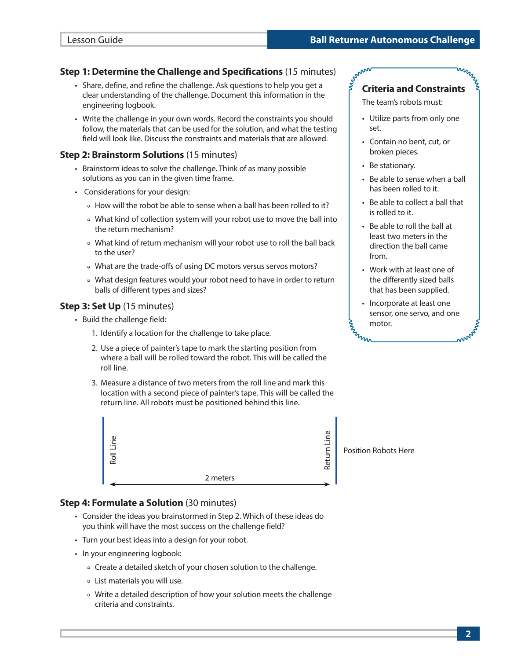### **Step 1: Determine the Challenge and Specifications** (15 minutes)

- Share, define, and refine the challenge. Ask questions to help you get a clear understanding of the challenge. Document this information in the engineering logbook.
- Write the challenge in your own words. Record the constraints you should follow, the materials that can be used for the solution, and what the testing field will look like. Discuss the constraints and materials that are allowed.

### **Step 2: Brainstorm Solutions** (15 minutes)

- Brainstorm ideas to solve the challenge. Think of as many possible solutions as you can in the given time frame.
- Considerations for your design:
	- How will the robot be able to sense when a ball has been rolled to it?
	- What kind of collection system will your robot use to move the ball into the return mechanism?
	- What kind of return mechanism will your robot use to roll the ball back to the user?
	- What are the trade-offs of using DC motors versus servos motors?
	- What design features would your robot need to have in order to return balls of different types and sizes?

### **Step 3: Set Up** (15 minutes)

- Build the challenge field:
	- 1. Identify a location for the challenge to take place.
	- 2. Use a piece of painter's tape to mark the starting position from where a ball will be rolled toward the robot. This will be called the roll line.
	- 3. Measure a distance of two meters from the roll line and mark this location with a second piece of painter's tape. This will be called the return line. All robots must be positioned behind this line.



# **Step 4: Formulate a Solution** (30 minutes)

- Consider the ideas you brainstormed in Step 2. Which of these ideas do you think will have the most success on the challenge field?
- Turn your best ideas into a design for your robot.
- In your engineering logbook:
	- Create a detailed sketch of your chosen solution to the challenge.
	- List materials you will use.
	- Write a detailed description of how your solution meets the challenge criteria and constraints.

# **Criteria and Constraints**

The team's robots must:

- Utilize parts from only one set.
- Contain no bent, cut, or broken pieces.
- Be stationary.
- Be able to sense when a ball has been rolled to it.
- Be able to collect a ball that is rolled to it.
- Be able to roll the ball at least two meters in the direction the ball came from.
- Work with at least one of the differently sized balls that has been supplied.
- Incorporate at least one sensor, one servo, and one motor. Www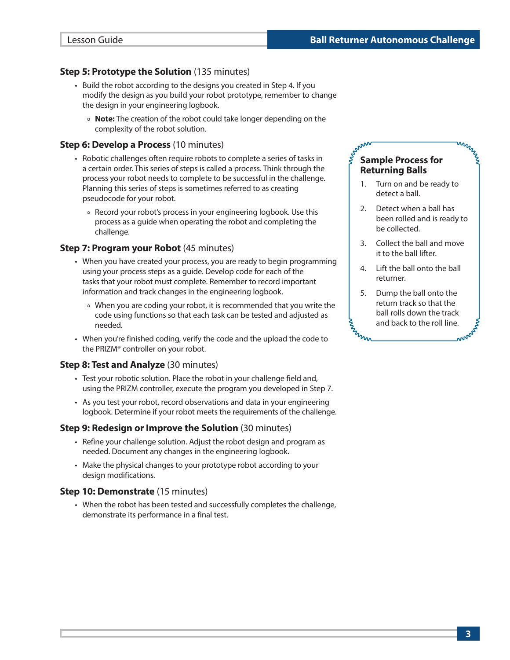# **Step 5: Prototype the Solution** (135 minutes)

- Build the robot according to the designs you created in Step 4. If you modify the design as you build your robot prototype, remember to change the design in your engineering logbook.
	- **Note:** The creation of the robot could take longer depending on the complexity of the robot solution.

### **Step 6: Develop a Process** (10 minutes)

- Robotic challenges often require robots to complete a series of tasks in a certain order. This series of steps is called a process. Think through the process your robot needs to complete to be successful in the challenge. Planning this series of steps is sometimes referred to as creating pseudocode for your robot.
	- Record your robot's process in your engineering logbook. Use this process as a guide when operating the robot and completing the challenge.

# **Step 7: Program your Robot** (45 minutes)

- When you have created your process, you are ready to begin programming using your process steps as a guide. Develop code for each of the tasks that your robot must complete. Remember to record important information and track changes in the engineering logbook.
	- When you are coding your robot, it is recommended that you write the code using functions so that each task can be tested and adjusted as needed.
- When you're finished coding, verify the code and the upload the code to the PRIZM® controller on your robot.

# **Step 8: Test and Analyze** (30 minutes)

- Test your robotic solution. Place the robot in your challenge field and, using the PRIZM controller, execute the program you developed in Step 7.
- As you test your robot, record observations and data in your engineering logbook. Determine if your robot meets the requirements of the challenge.

# **Step 9: Redesign or Improve the Solution** (30 minutes)

- Refine your challenge solution. Adjust the robot design and program as needed. Document any changes in the engineering logbook.
- Make the physical changes to your prototype robot according to your design modifications.

# **Step 10: Demonstrate** (15 minutes)

• When the robot has been tested and successfully completes the challenge, demonstrate its performance in a final test.

# **Sample Process for Returning Balls**

1. Turn on and be ready to detect a ball.

MMMM

- 2. Detect when a ball has been rolled and is ready to be collected.
- 3. Collect the ball and move it to the ball lifter.
- 4. Lift the ball onto the ball returner.
- 5. Dump the ball onto the return track so that the ball rolls down the track and back to the roll line. **E**rmin